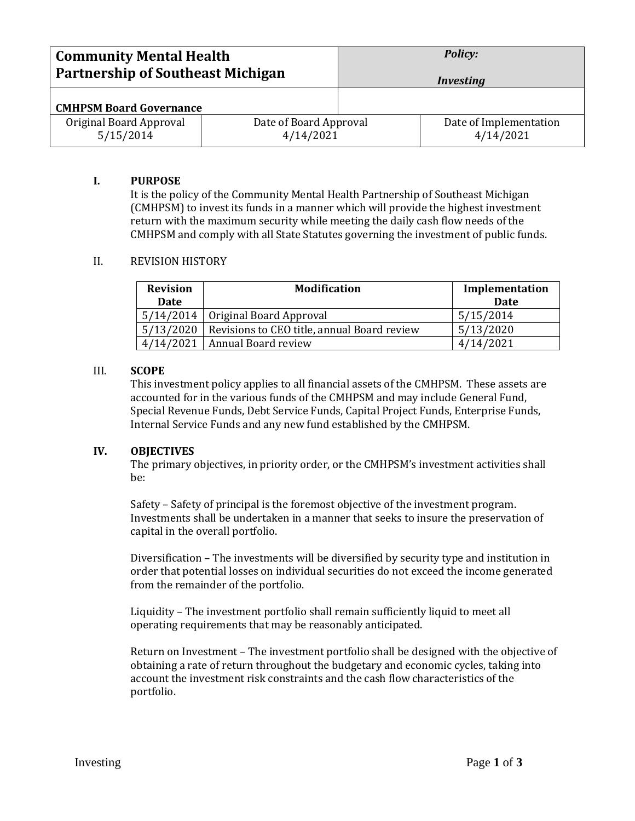| <b>Community Mental Health</b>           |                        | <b>Policy:</b>   |                        |
|------------------------------------------|------------------------|------------------|------------------------|
| <b>Partnership of Southeast Michigan</b> |                        | <i>Investing</i> |                        |
| <b>CMHPSM Board Governance</b>           |                        |                  |                        |
| Original Board Approval                  | Date of Board Approval |                  | Date of Implementation |
| 5/15/2014                                | 4/14/2021              |                  | 4/14/2021              |

### **I. PURPOSE**

It is the policy of the Community Mental Health Partnership of Southeast Michigan (CMHPSM) to invest its funds in a manner which will provide the highest investment return with the maximum security while meeting the daily cash flow needs of the CMHPSM and comply with all State Statutes governing the investment of public funds.

## II. REVISION HISTORY

| <b>Revision</b><br><b>Date</b> | <b>Modification</b>                         | Implementation<br><b>Date</b> |
|--------------------------------|---------------------------------------------|-------------------------------|
|                                | 5/14/2014   Original Board Approval         | 5/15/2014                     |
| 5/13/2020                      | Revisions to CEO title, annual Board review | 5/13/2020                     |
| 4/14/2021                      | Annual Board review                         |                               |

## III. **SCOPE**

This investment policy applies to all financial assets of the CMHPSM. These assets are accounted for in the various funds of the CMHPSM and may include General Fund, Special Revenue Funds, Debt Service Funds, Capital Project Funds, Enterprise Funds, Internal Service Funds and any new fund established by the CMHPSM.

### **IV. OBJECTIVES**

The primary objectives, in priority order, or the CMHPSM's investment activities shall be:

Safety – Safety of principal is the foremost objective of the investment program. Investments shall be undertaken in a manner that seeks to insure the preservation of capital in the overall portfolio.

Diversification – The investments will be diversified by security type and institution in order that potential losses on individual securities do not exceed the income generated from the remainder of the portfolio.

Liquidity – The investment portfolio shall remain sufficiently liquid to meet all operating requirements that may be reasonably anticipated.

Return on Investment – The investment portfolio shall be designed with the objective of obtaining a rate of return throughout the budgetary and economic cycles, taking into account the investment risk constraints and the cash flow characteristics of the portfolio.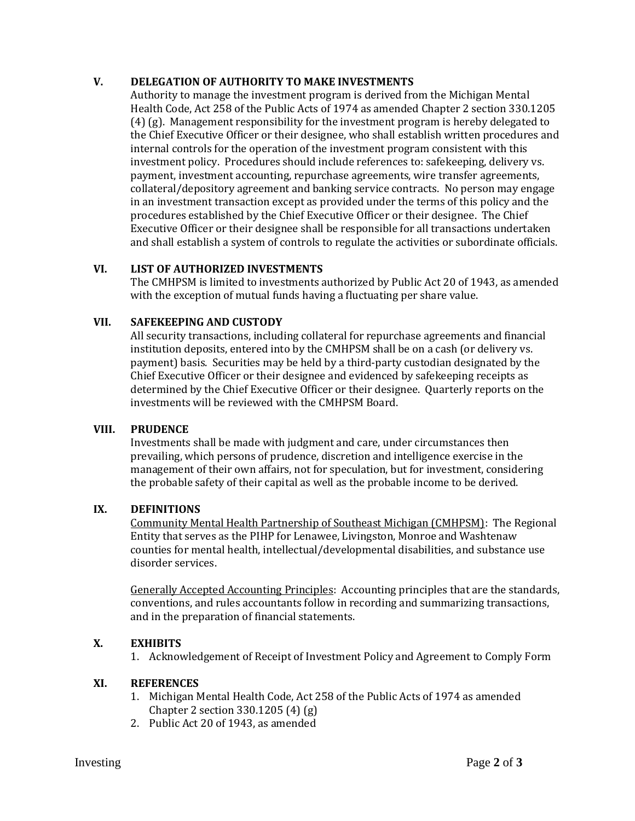# **V. DELEGATION OF AUTHORITY TO MAKE INVESTMENTS**

Authority to manage the investment program is derived from the Michigan Mental Health Code, Act 258 of the Public Acts of 1974 as amended Chapter 2 section 330.1205 (4) (g). Management responsibility for the investment program is hereby delegated to the Chief Executive Officer or their designee, who shall establish written procedures and internal controls for the operation of the investment program consistent with this investment policy. Procedures should include references to: safekeeping, delivery vs. payment, investment accounting, repurchase agreements, wire transfer agreements, collateral/depository agreement and banking service contracts. No person may engage in an investment transaction except as provided under the terms of this policy and the procedures established by the Chief Executive Officer or their designee. The Chief Executive Officer or their designee shall be responsible for all transactions undertaken and shall establish a system of controls to regulate the activities or subordinate officials.

# **VI. LIST OF AUTHORIZED INVESTMENTS**

The CMHPSM is limited to investments authorized by Public Act 20 of 1943, as amended with the exception of mutual funds having a fluctuating per share value.

## **VII. SAFEKEEPING AND CUSTODY**

All security transactions, including collateral for repurchase agreements and financial institution deposits, entered into by the CMHPSM shall be on a cash (or delivery vs. payment) basis. Securities may be held by a third-party custodian designated by the Chief Executive Officer or their designee and evidenced by safekeeping receipts as determined by the Chief Executive Officer or their designee. Quarterly reports on the investments will be reviewed with the CMHPSM Board.

### **VIII. PRUDENCE**

Investments shall be made with judgment and care, under circumstances then prevailing, which persons of prudence, discretion and intelligence exercise in the management of their own affairs, not for speculation, but for investment, considering the probable safety of their capital as well as the probable income to be derived.

### **IX. DEFINITIONS**

Community Mental Health Partnership of Southeast Michigan (CMHPSM): The Regional Entity that serves as the PIHP for Lenawee, Livingston, Monroe and Washtenaw counties for mental health, intellectual/developmental disabilities, and substance use disorder services.

Generally Accepted Accounting Principles:Accounting principles that are the standards, conventions, and rules accountants follow in recording and summarizing transactions, and in the preparation of financial statements.

# **X. EXHIBITS**

1. Acknowledgement of Receipt of Investment Policy and Agreement to Comply Form

### **XI. REFERENCES**

- 1. Michigan Mental Health Code, Act 258 of the Public Acts of 1974 as amended Chapter 2 section 330.1205 (4) (g)
- 2. Public Act 20 of 1943, as amended